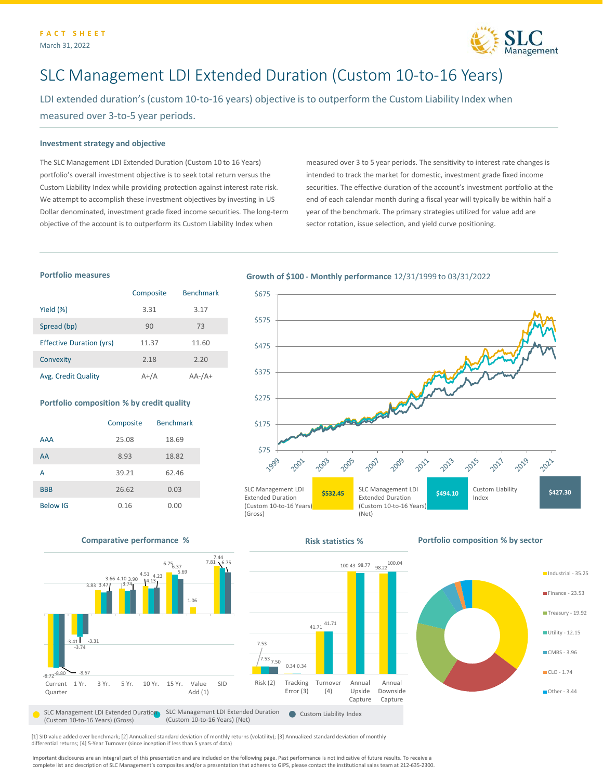

# SLC Management LDI Extended Duration (Custom 10-to-16 Years)

LDI extended duration's (custom 10-to-16 years) objective is to outperform the Custom Liability Index when measured over 3-to-5 year periods.

#### **Investment strategy and objective**

The SLC Management LDI Extended Duration (Custom 10 to 16 Years) portfolio's overall investment objective is to seek total return versus the Custom Liability Index while providing protection against interest rate risk. We attempt to accomplish these investment objectives by investing in US Dollar denominated, investment grade fixed income securities. The long-term objective of the account is to outperform its Custom Liability Index when

measured over 3 to 5 year periods. The sensitivity to interest rate changes is intended to track the market for domestic, investment grade fixed income securities. The effective duration of the account's investment portfolio at the end of each calendar month during a fiscal year will typically be within half a year of the benchmark. The primary strategies utilized for value add are sector rotation, issue selection, and yield curve positioning.

### **Portfolio measures**

|                                 | Composite | <b>Benchmark</b> |
|---------------------------------|-----------|------------------|
| Yield $(\%)$                    | 3.31      | 3.17             |
| Spread (bp)                     | 90        | 73               |
| <b>Effective Duration (yrs)</b> | 11.37     | 11.60            |
| Convexity                       | 2.18      | 2.20             |
| Avg. Credit Quality             | $A+/A$    | $AA$ - $/A$ +    |

#### **Portfolio composition % by credit quality**

|                 | Composite | <b>Benchmark</b> |
|-----------------|-----------|------------------|
| <b>AAA</b>      | 25.08     | 18.69            |
| AA              | 8.93      | 18.82            |
| А               | 39.21     | 62.46            |
| <b>BBB</b>      | 26.62     | 0.03             |
| <b>Below IG</b> | 0.16      | 0.00             |

## **Growth of \$100 - Monthly performance** 12/31/1999 to 03/31/2022





[1] SID value added over benchmark; [2] Annualized standard deviation of monthly returns (volatility); [3] Annualized standard deviation of monthly differential returns; [4] 5-Year Turnover (since inception if less than 5 years of data)

Important disclosures are an integral part of this presentation and are included on the following page. Past performance is not indicative of future results. To receive a complete list and description of SLC Management's composites and/or a presentation that adheres to GIPS, please contact the institutional sales team at 212-635-2300.